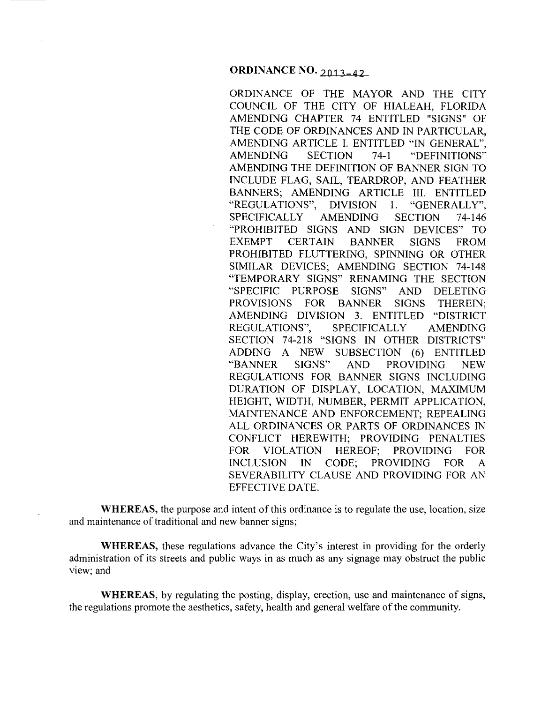ORDINANCE OF THE MAYOR AND THE CITY COUNCIL OF THE CITY OF HIALEAH, FLORIDA AMENDING CHAPTER 74 ENTITLED "SIGNS" OF THE CODE OF ORDINANCES AND IN PARTICULAR, AMENDING ARTICLE I. ENTITLED "IN GENERAL", AMENDING SECTION 74-1 "DEFINITIONS" AMENDING THE DEFINITION OF BANNER SIGN TO INCLUDE FLAG, SAIL, TEARDROP, AND FEATHER BANNERS; AMENDING ARTICLE III. ENTITLED "REGULATIONS", DIVISION I. "GENERALLY", SPECIFICALLY AMENDING SECTION 74-146 "PROHIBITED SIGNS AND SIGN DEVICES" TO EXEMPT CERTAIN BANNER SIGNS FROM PROHIBITED FLUTTERING, SPINNING OR OTHER SIMILAR DEVICES; AMENDING SECTION 74-148 "TEMPORARY SIGNS" RENAMING THE SECTION "SPECIFIC PURPOSE SIGNS" AND DELETING PROVISIONS FOR BANNER SIGNS THEREIN; AMENDING DIVISION 3. ENTITLED "DISTRICT REGULATIONS", SPECIFICALLY AMENDING SECTION 74-218 "SIGNS IN OTHER DISTRICTS" ADDING A NEW SUBSECTION (6) ENTITLED "BANNER SIGNS" AND PROVIDING NEW REGULATIONS FOR BANNER SIGNS INCLUDING DURATION OF DISPLAY, LOCATION, MAXIMUM HEIGHT, WIDTH, NUMBER, PERMIT APPLICATION, MAINTENANCE AND ENFORCEMENT; REPEALING ALL ORDINANCES OR PARTS OF ORDINANCES IN CONFLICT HEREWITH; PROVIDING PENALTIES FOR VIOLATION HEREOF; PROVIDING FOR INCLUSION IN CODE; PROVIDING FOR A SEVERABILITY CLAUSE AND PROVIDING FOR AN EFFECTIVE DATE.

**WHEREAS,** the purpose and intent of this ordinance is to regulate the use, location, size and maintenance of traditional and new banner signs;

**WHEREAS,** these regulations advance the City's interest in providing for the orderly administration of its streets and public ways in as much as any signage may obstruct the public view; and

**WHEREAS,** by regulating the posting, display, erection, use and maintenance of signs, the regulations promote the aesthetics, safety, health and general welfare of the community.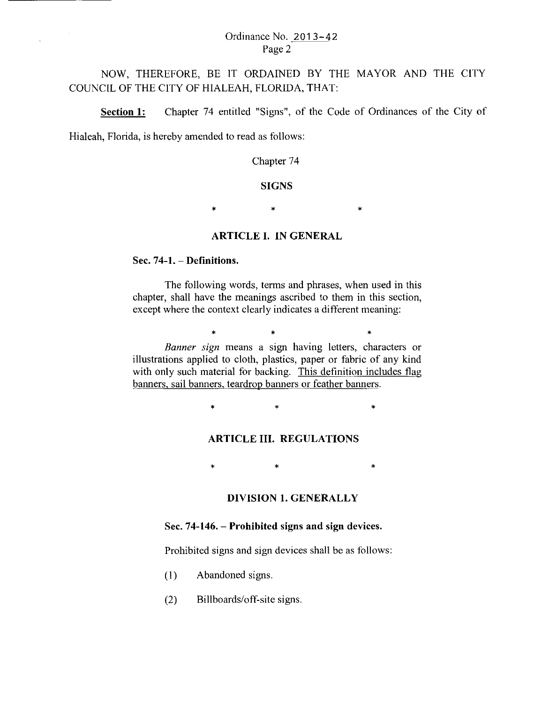### Ordinance No. 2013-42 Page 2

NOW, THEREFORE, BE IT ORDAINED BY THE MAYOR AND THE CITY COUNCIL OF THE CITY OF HIALEAH, FLORIDA, THAT:

Section 1: Chapter 74 entitled "Signs", of the Code of Ordinances of the City of

Hialeah, Florida, is hereby amended to read as follows:

Chapter 74

#### **SIGNS**

 $\star$  \*  $\star$  \*

### ARTICLE I. IN GENERAL

#### Sec.  $74-1.$  - Definitions.

The following words, terms and phrases, when used in this chapter, shall have the meanings ascribed to them in this section, except where the context clearly indicates a different meaning:

> \* \* \* \* \* \* *Banner sign* means a sign having letters, characters or

illustrations applied to cloth, plastics, paper or fabric of any kind with only such material for backing. This definition includes flag banners, sail banners, teardrop banners or feather banners.

 $\ast$   $\ast$   $\ast$ 

### ARTICLE III. REGULATIONS

\* \* \* \* \*

### DIVISION 1. GENERALLY

#### Sec. 74-146. – Prohibited signs and sign devices.

Prohibited signs and sign devices shall be as follows:

- (I) Abandoned signs.
- (2) Billboards/off-site signs.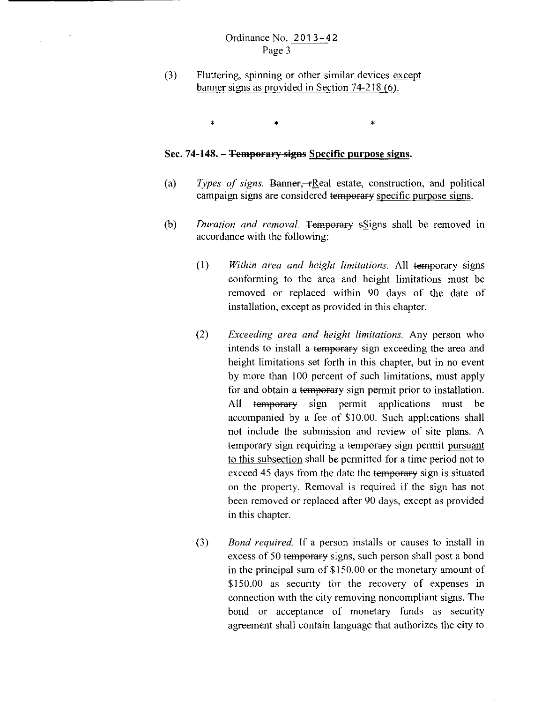### Ordinance No. 201 3-42 Page 3

(3) Fluttering, spinning or other similar devices except banner signs as provided in Section 74-218 (6).

 $\ast$   $\ast$   $\ast$ 

### Sec. **74-148.- Temporary signs Specific purpose signs.**

- (a) *Types of signs.* Banner, rReal estate, construction, and political campaign signs are considered temperary specific purpose signs.
- (b) *Duration and removal.* Temporary sSigns shall be removed in accordance with the following:
	- (I) *Within area and height limitations.* All temperary signs conforming to the area and height limitations must be removed or replaced within 90 days of the date of installation, except as provided in this chapter.
	- (2) *Exceeding area and height limitations.* Any person who intends to install a temporary sign exceeding the area and height limitations set forth in this chapter, but in no event by more than 100 percent of such limitations, must apply for and obtain a temporary sign permit prior to installation. All temperary sign permit applications must be accompanied by a fee of \$10.00. Such applications shall not include the submission and review of site plans. A temporary sign requiring a temporary sign permit pursuant to this subsection shall be permitted for a time period not to exceed 45 days from the date the temporary sign is situated on the property. Removal is required if the sign has not been removed or replaced after 90 days, except as provided in this chapter.
	- (3) *Bond required.* If a person installs or causes to install in excess of 50 temperary signs, such person shall post a bond in the principal sum of \$150.00 or the monetary amount of \$150.00 as security for the recovery of expenses in connection with the city removing noncompliant signs. The bond or acceptance of monetary funds as security agreement shall contain language that authorizes the city to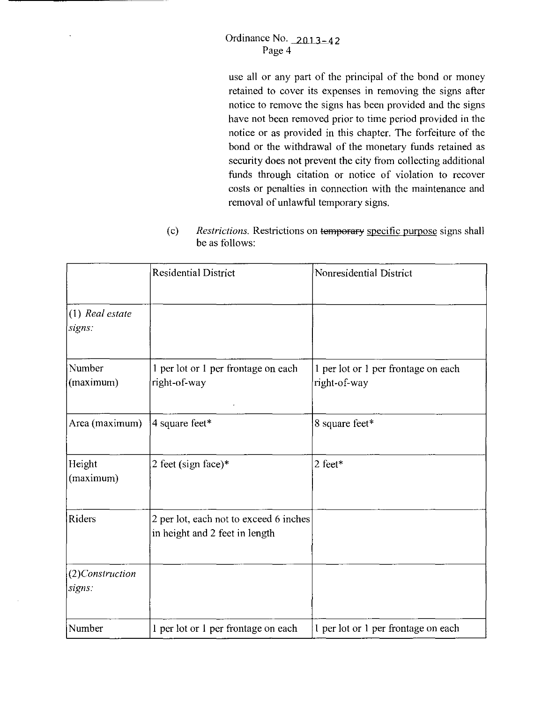### Ordinance No.  $2013-42$ Page 4

 $\ddot{\phantom{1}}$ 

use all or any part of the principal of the bond or money retained to cover its expenses in removing the signs after notice to remove the signs has been provided and the signs have not been removed prior to time period provided in the notice or as provided in this chapter. The forfeiture of the bond or the withdrawal of the monetary funds retained as security does not prevent the city from collecting additional funds through citation or notice of violation to recover costs or penalties in connection with the maintenance and removal of unlawful temporary signs.

(c) *Restrictions.* Restrictions on temporary specific purpose signs shall be as follows:

|                           | <b>Residential District</b>                                              | Nonresidential District                             |
|---------------------------|--------------------------------------------------------------------------|-----------------------------------------------------|
| (1) Real estate<br>signs: |                                                                          |                                                     |
| Number<br>(maximum)       | 1 per lot or 1 per frontage on each<br>right-of-way                      | 1 per lot or 1 per frontage on each<br>right-of-way |
| Area (maximum)            | 4 square feet*                                                           | 8 square feet*                                      |
| Height<br>(maximum)       | 2 feet (sign face)*                                                      | 2 feet*                                             |
| Riders                    | 2 per lot, each not to exceed 6 inches<br>in height and 2 feet in length |                                                     |
| (2)Construction<br>signs: |                                                                          |                                                     |
| Number                    | 1 per lot or 1 per frontage on each                                      | 1 per lot or 1 per frontage on each                 |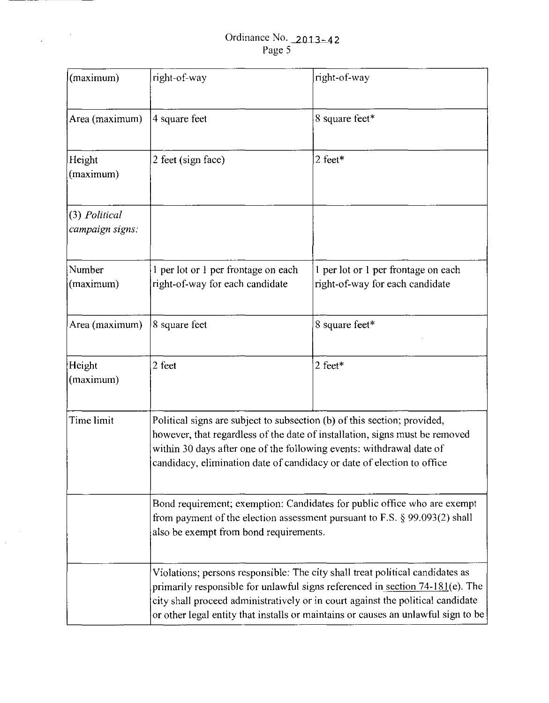$\label{eq:1} \frac{1}{\sqrt{2\pi}}\int_{0}^{\pi} \frac{1}{\sqrt{2\pi}}\left(\frac{1}{\sqrt{2\pi}}\right)^{2\pi} \frac{1}{\sqrt{2\pi}}\left(\frac{1}{\sqrt{2\pi}}\right)^{2\pi} \frac{1}{\sqrt{2\pi}}\frac{1}{\sqrt{2\pi}}\frac{1}{\sqrt{2\pi}}\frac{1}{\sqrt{2\pi}}\frac{1}{\sqrt{2\pi}}\frac{1}{\sqrt{2\pi}}\frac{1}{\sqrt{2\pi}}\frac{1}{\sqrt{2\pi}}\frac{1}{\sqrt{2\pi}}\frac{1}{\sqrt{2\pi}}\frac{1$ 

 $\sim$ 

| (maximum)                        | right-of-way                                                                                                                                                                                                                                                                                                                           | right-of-way                                                           |  |  |
|----------------------------------|----------------------------------------------------------------------------------------------------------------------------------------------------------------------------------------------------------------------------------------------------------------------------------------------------------------------------------------|------------------------------------------------------------------------|--|--|
| Area (maximum)                   | 4 square feet                                                                                                                                                                                                                                                                                                                          | 8 square feet*                                                         |  |  |
| Height<br>(maximum)              | 2 feet (sign face)                                                                                                                                                                                                                                                                                                                     | 2 feet*                                                                |  |  |
| (3) Political<br>campaign signs: |                                                                                                                                                                                                                                                                                                                                        |                                                                        |  |  |
| Number<br>(maximum)              | 1 per lot or 1 per frontage on each<br>right-of-way for each candidate                                                                                                                                                                                                                                                                 | 1 per lot or 1 per frontage on each<br>right-of-way for each candidate |  |  |
| Area (maximum)                   | 8 square feet                                                                                                                                                                                                                                                                                                                          | 8 square feet*                                                         |  |  |
| Height<br>(maximum)              | 2 feet                                                                                                                                                                                                                                                                                                                                 | 2 feet*                                                                |  |  |
| Time limit                       | Political signs are subject to subsection (b) of this section; provided,<br>however, that regardless of the date of installation, signs must be removed<br>within 30 days after one of the following events: withdrawal date of<br>candidacy, elimination date of candidacy or date of election to office                              |                                                                        |  |  |
|                                  | Bond requirement; exemption: Candidates for public office who are exempt<br>from payment of the election assessment pursuant to F.S. $\S$ 99.093(2) shall<br>also be exempt from bond requirements.                                                                                                                                    |                                                                        |  |  |
|                                  | Violations; persons responsible: The city shall treat political candidates as<br>primarily responsible for unlawful signs referenced in section 74-181(e). The<br>city shall proceed administratively or in court against the political candidate<br>or other legal entity that installs or maintains or causes an unlawful sign to be |                                                                        |  |  |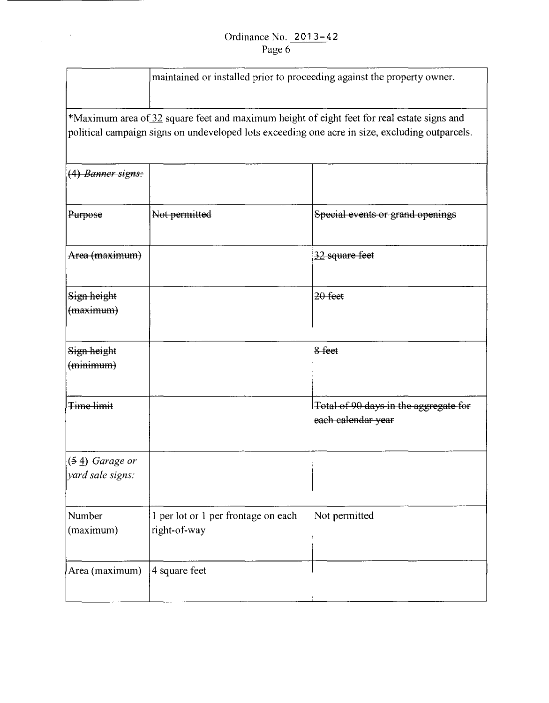### Ordinance No. 2013-42 Page 6

 $\label{eq:2.1} \frac{1}{\sqrt{2\pi}}\int_{\mathbb{R}^{2}}\frac{d\mu}{\left(1+\mu\right)^{2}}\,d\mu\,d\mu.$ 

|                                      | maintained or installed prior to proceeding against the property owner. |                                                                                                                                                                                              |  |  |
|--------------------------------------|-------------------------------------------------------------------------|----------------------------------------------------------------------------------------------------------------------------------------------------------------------------------------------|--|--|
|                                      |                                                                         | *Maximum area of 32 square feet and maximum height of eight feet for real estate signs and<br>political campaign signs on undeveloped lots exceeding one acre in size, excluding outparcels. |  |  |
| (4) Banner signs:                    |                                                                         |                                                                                                                                                                                              |  |  |
| Purpose                              | Not permitted                                                           | Special events or grand openings                                                                                                                                                             |  |  |
| Area (maximum)                       |                                                                         | 32 square feet                                                                                                                                                                               |  |  |
| Sign height<br>(maximum)             |                                                                         | $20$ feet                                                                                                                                                                                    |  |  |
| Sign height<br>(mimum)               |                                                                         | 8 feet                                                                                                                                                                                       |  |  |
| Time limit                           |                                                                         | Total of 90 days in the aggregate for<br>each calendar year                                                                                                                                  |  |  |
| $(54)$ Garage or<br>yard sale signs: |                                                                         |                                                                                                                                                                                              |  |  |
| Number<br>(maximum)                  | 1 per lot or 1 per frontage on each<br>right-of-way                     | Not permitted                                                                                                                                                                                |  |  |
| Area (maximum)                       | 4 square feet                                                           |                                                                                                                                                                                              |  |  |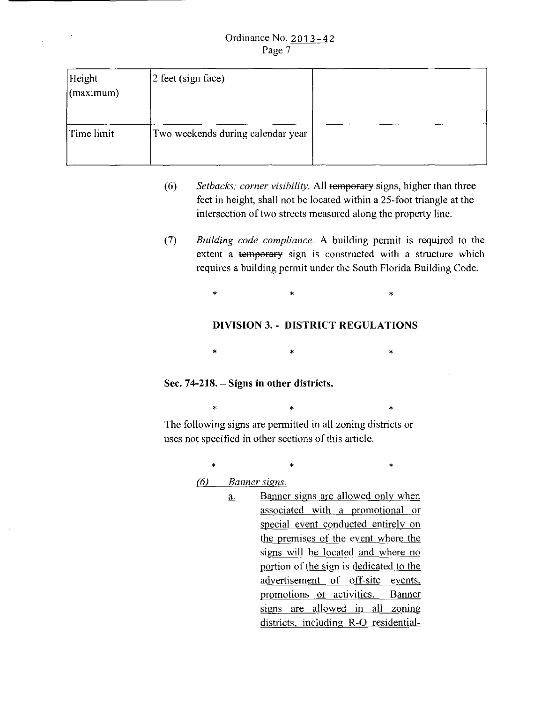#### Ordinance No. 2 01 3-4 2 Page 7

| Height<br>(maximum) | 2 feet (sign face)                |  |  |
|---------------------|-----------------------------------|--|--|
| Time limit          | Two weekends during calendar year |  |  |

- (6) *Setbacks; corner visibility.* All temporary signs, higher than three feet in height, shall not be located within a 25-foot triangle at the intersection of two streets measured along the property line.
- (7) *Building code compliance.* A building permit is required to the extent a temporary sign is constructed with a structure which requires a building permit under the South Florida Building Code.

 $\ast$   $\ast$   $\ast$ 

### **DIVISION 3.- DISTRICT REGULATIONS**

 $*$  \*  $*$  \*  $*$ 

### **Sec. 74-218.- Signs in other districts.**

 $\ast$   $\ast$   $\ast$ The following signs are permitted in all zoning districts or uses not specified in other sections of this article.

 $\ast$   $\ast$   $\ast$ 

- *(6) Banner signs.* 
	- a. Banner signs are allowed only when associated with a promotional or special event conducted entirely on the premises of the event where the signs will be located and where no portion of the sign is dedicated to the advertisement of off-site events, promotions or activities. Banner signs are allowed in all zoning districts, including R-0 residential-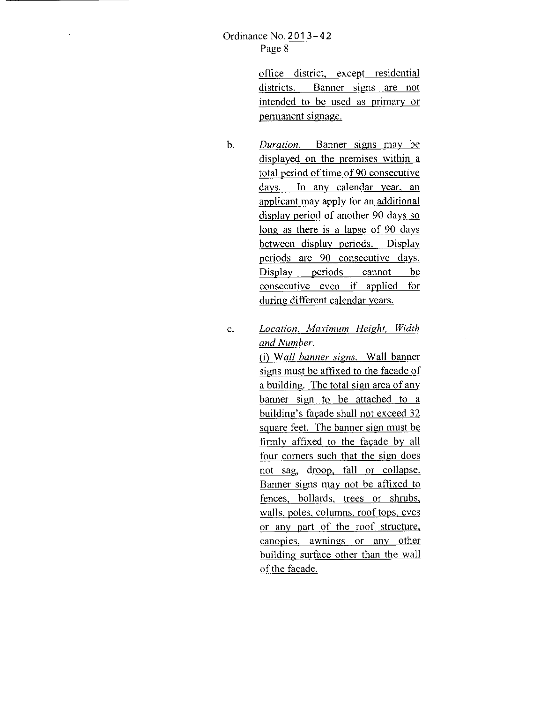office district, except residential districts. Banner signs are not intended to be used as primary or permanent signage.

- b. *Duration.* Banner signs may be displayed on the premises within a total period of time of 90 consecutive days. In any calendar year, an applicant may apply for an additional display period of another 90 days so long as there is a lapse of 90 days between display periods. Display periods are 90 consecutive days. Display periods cannot be consecutive even if applied for during different calendar years.
- c. *Location, Maximum Height. Width and Number.*

(i) *Wall banner signs.* Wall banner signs must be affixed to the facade of a building. The total sign area of any banner sign to be attached to a building's facade shall not exceed 32 square feet. The banner sign must be firmly affixed to the facade by all four comers such that the sign does not sag, droop, fall or collapse. Banner signs may not be affixed to fences, bollards, trees or shrubs, walls, poles, columns, roof tops, eves or any part of the roof structure, canopies, awnings or any other building surface other than the wall of the facade.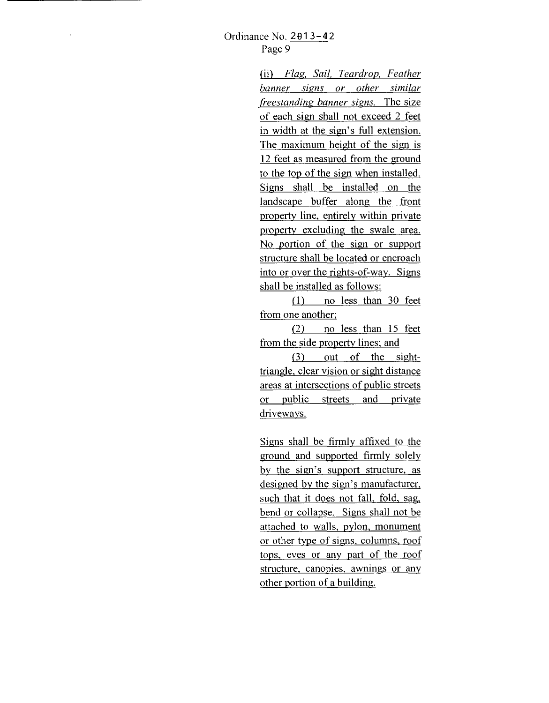(ii) *Flag, Sail. Teardrop, Feather banner signs or other similar freestanding banner signs.* The size of each sign shall not exceed 2 feet in width at the sign's full extension. The maximum height of the sign is 12 feet as measured from the ground to the top of the sign when installed. Signs shall be installed on the landscape buffer along the front property line, entirely within private property excluding the swale area. No portion of the sign or support structure shall be located or encroach into or over the rights-of-way. Signs shall be installed as follows:

(I) no less than 30 feet from one another;

(2) no less than 15 feet from the side property lines; and

(3) out of the sighttriangle, clear vision or sight distance areas at intersections of public streets or public streets and private driveways.

Signs shall be firmly affixed to the ground and supported firmly solely by the sign's support structure, as designed by the sign's manufacturer, such that it does not fall, fold, sag, bend or collapse. Signs shall not be attached to walls, pylon, monument or other type of signs, columns, roof tops, eves or any part of the roof structure, canopies, awnings or any other portion of a building.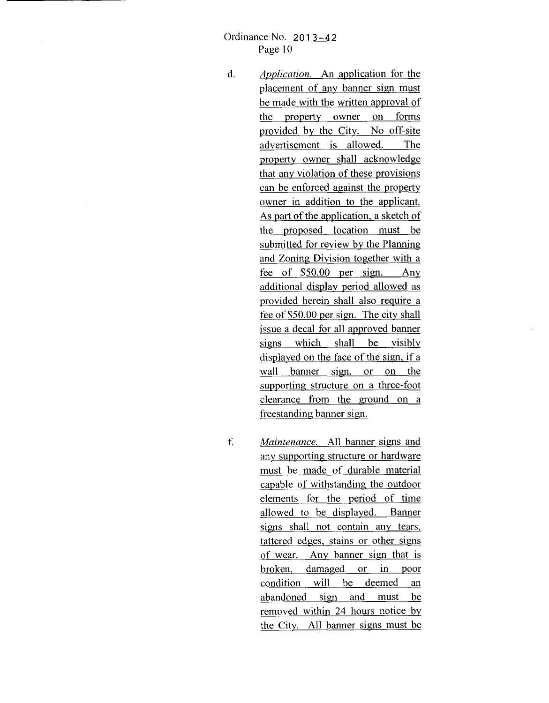### Ordinance No. 2013-42 Page 10

- d. *Application.* An application for the placement of any banner sign must be made with the written approval of the orooerty owner on forms provided by the City. No off-site advertisement is allowed. The property owner shall acknowledge that any violation of these provisions can be enforced against the property owner in addition to the applicant. As part of the application, a sketch of the proposed location must be submitted for review by the Planning and Zoning Division together with a fee of \$50.00 per sign. Any additional display period allowed as provided herein shall also require a fee of \$50.00 per sign. The city shall issue a decal for all approved banner signs which shall be visibly displayed on the face of the sign, if a wall banner sign, or on the supporting structure on a three-foot clearance from the ground on a freestanding banner sign.
- f. *Maintenance.* All banner signs and any supporting structure or hardware must be made of durable material capable of withstanding the outdoor elements tor the period of time allowed to be displayed. Banner signs shall not contain any tears, tattered edges, stains or other signs of wear. Any banner sign that is broken, damaged or in poor condition will be deemed an abandoned sign and must be removed within 24 hours notice by the City. All banner signs must be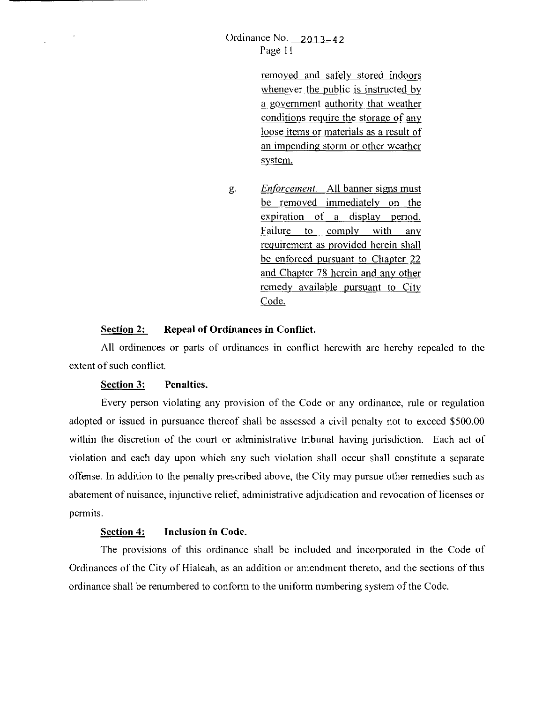removed and safely stored indoors whenever the public is instructed by a government authority that weather conditions require the storage of any loose items or materials as a result of an impending storm or other weather system.

g. *EnfOrcement.* All banner signs must be removed immediately on the expiration of a display period. Failure to comply with any requirement as provided herein shall be enforced pursuant to Chapter 22 and Chapter 78 herein and any other remedy available pursuant to City Code.

#### **Section 2: Repeal of Ordinances in Conflict.**

All ordinances or parts of ordinances in conflict herewith are hereby repealed to the extent of such conflict.

#### **Section 3: Penalties.**

 $\alpha$ 

Every person violating any provision of the Code or any ordinance, rule or regulation adopted or issued in pursuance thereof shall be assessed a civil penalty not to exceed \$500.00 within the discretion of the court or administrative tribunal having jurisdiction. Each act of violation and each day upon which any such violation shall occur shall constitute a separate offense. In addition to the penalty prescribed above, the City may pursue other remedies such as abatement of nuisance, injunctive relief, administrative adjudication and revocation of licenses or permits.

### **Section 4: Inclusion in Code.**

The provisions of this ordinance shall be included and incorporated in the Code of Ordinances of the City of Hialeah, as an addition or amendment thereto, and the sections of this ordinance shall be renumbered to conform to the uniform numbering system of the Code.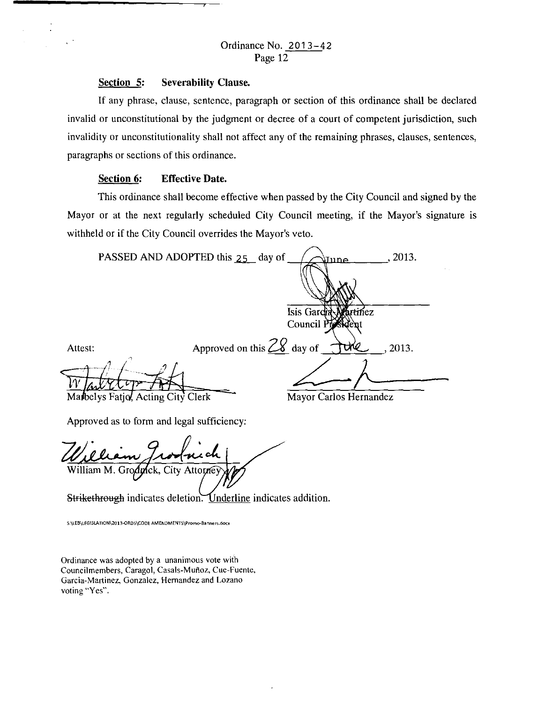#### Section 5: Severability Clause.

If any phrase, clause, sentence, paragraph or section of this ordinance shall be declared invalid or unconstitutional by the judgment or decree of a court of competent jurisdiction, such invalidity or unconstitutionality shall not affect any of the remaining phrases, clauses, sentences, paragraphs or sections of this ordinance.

#### Section 6: Effective Date.

This ordinance shall become effective when passed by the City Council and signed by the Mayor or at the next regularly scheduled City Council meeting, if the Mayor's signature is withheld or if the City Council overrides the Mayor's veto.

| PASSED AND ADOPTED this 25 day of |                              | <u>\June</u>           | 2013. |
|-----------------------------------|------------------------------|------------------------|-------|
|                                   |                              |                        |       |
|                                   |                              |                        |       |
|                                   |                              | Isis Gardia Martinez   |       |
|                                   |                              | Council President      |       |
| Attest:                           | Approved on this $28$ day of | TURE                   | 2013. |
|                                   |                              |                        |       |
| Marbelys Fatjo, Acting City Clerk |                              | Mayor Carlos Hernandez |       |

Approved as to form and legal sufficiency:

William M. Grodnick, City Attorne

Strikethrough indicates deletion. Underline indicates addition.

S:\LEB\LEGISLATION\2013-ORDS\CODE AMENDMENTS\Promo-Banners.docx

Ordinance was adopted by a unanimous vote with Councilmembers. Caragol, Casals-Mufioz, Cue-Fuente. Garcia-Martinez, Gonzalez, Hernandez and Lozano voting "Yes".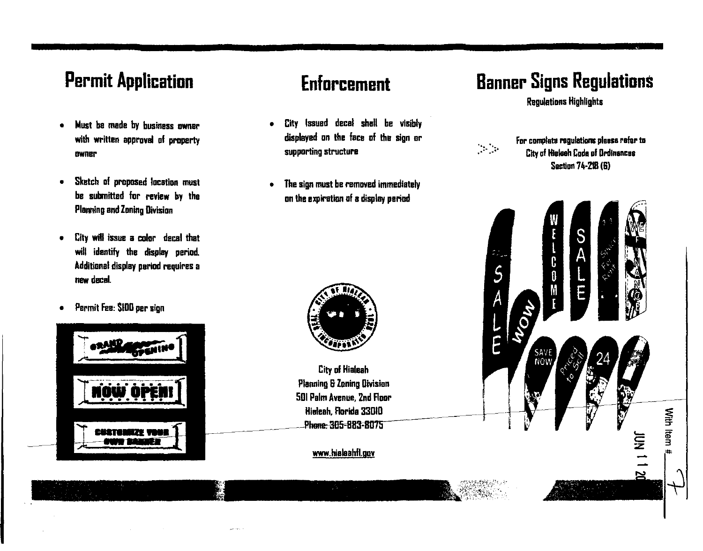### **Permit Application**

- Must be made by business owner with written approval of property owner
- Sketch of proposed location must be submitted for review by the Plaming and Zoning Division
- City wdl issue a color decal that will identify the display period. Additional display period requires a new decal.
- Permit Fee: SIDD per sign



### **Enforcement**

- City Issued decal shall be visibly displayed on the face of the sign or supporting structure
- The sign must be removed immediately on the expiration of a display period

City of Hialaah Planning S Zoning Division 501 Palm Avenue, 2nd Roar Hialeah. Aorida 33010

www.hialeahfl.gov

Phone: 305-883-8075

## **Banner Signs Regulations**

Regulations Highlights



For complate regulations please rafar to City of Hialeah Coda of Drdlnencas Section 74·218 (G)

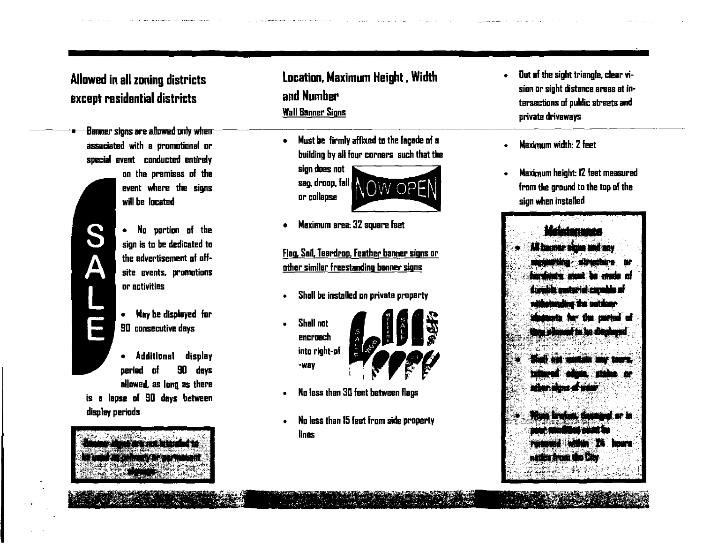### Allowed in all zoning districts except residential districts

• **Banner signs are allowed mdy when**  associated with a promotional or special event conducted entirely

S

F

- on the premises of the event where the signs will be located
- No portion of the sign is to be dedicated to the advertisement of offsite events. promotions or activities
- May be displayed for 90 consecutive days
- Additional display period of 90 days allowed, as long as there is a lapse of 90 days between display periods

mi in na handa a

'··~~t '' ·#· \;,., ,-··. ·~-

### Location, Maximum Height, Width and Number Wall Banner Signs

Must be firmly affixed to the façade of a building by all four corners such that tha

sign does not sag. droop, fall OW OPE or collapse

• Maximum area: 32 square feet

Flag, San, Teardrop, Feather banner signs or other similar freestanding banner signs

- Shall be installed on private property
- Shall not encroach into right-of -way



- No less than 30 feet between flags
- No less than 15 feet from side property lines

• Out of the sight triangle, clear vision or sight distance areas at intersections of public streets and private driveways

-------------~--·

- Maximum width: 2 feet
- Maximum height: 12 feet measured from the ground to the top of the sign when installed

# All beamse signs and any mattitist structure or hardaana maa ka mala af durable material capable of habindhui the outdoor **RAILET ANNI LAB BAY**

 $\mathcal{L}$ , ...  $\sim$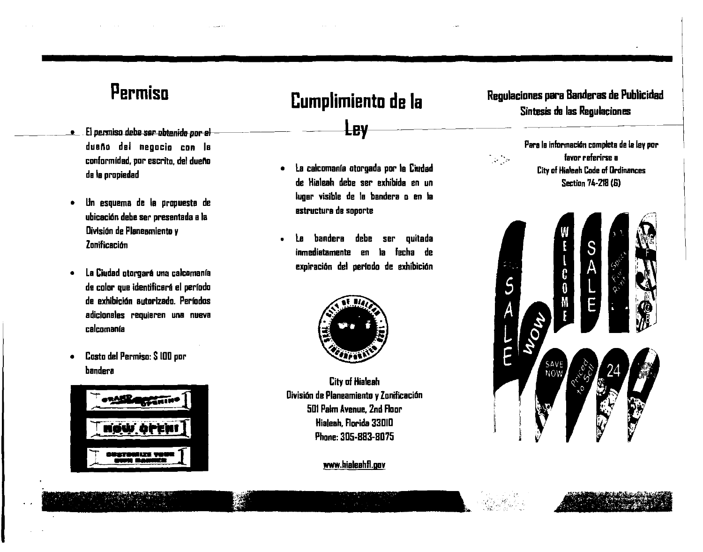### **Permiso**

- —————<del>————</del> **e** El permiso debe ser obtenida por el dueño del negocio con la conlormidad, pur escrito, del duena de Ia propiedad
	- Un esquema de Ia propuesta de ubicaci6n debe ser presentada a Ia Division de Planeamiento *v*  Zonificación
	- La Ciudad otorgara una calcamanfa de color que identificará el período de exhibición autorizado. Períodos adicionales requieren una nueva calcomanía
	- Costa del Permiso: S 100 pur bandera



### **Cumplimiento de Ia**

**Ley** 

- La calcomanfa otorgada par Ia Ciudad de Hialeah debe ser exhibida en un Iugar visible de Ia bandera a en Ia estructura de soporte
- La bandera debe ser quitada inmediatamente en Ia lecha de expiración del período de exhibición



Citv of Hialeah División de Planeamiento y Zonificación 501 Palm Avenue, 2nd Floor Hialeah, Florida 33010 Phane:305-BB3-BD75

www.hialeahft.gov

### Regulaciones para Banderas de Publicidad Sintesis de las Regulaciones



o~'c  $~\sim~$ 

Para la información completa de la ley por favor relerirse a **City of Hialeah Code of Ordinances** Section 74-218 (G)

I

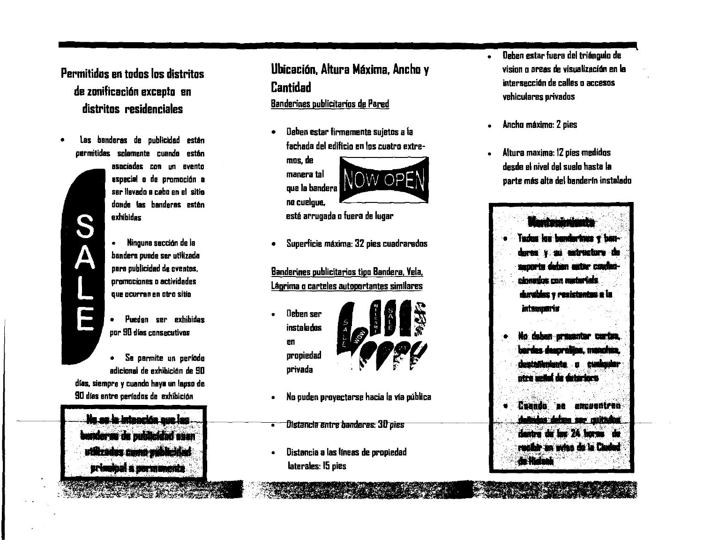Permitidos en todos los distritos de zonificaci6n excepto en distritos residenciales

• Las banderas de publicidad est6n permitides solemente cuando est6n

**S<br>A** 

77

asociadas con un evento especial o de promoci6n a sar llavado a cabo en el sitio donda las banderas estén axhibidas

• Ninguna saccl6n de Ia bandera puade ser utilizada para publicidad de eventos. promociones o actividades qua ocurran an otro sitio

- Pueden ser exhibidas pur 90 dfas consecutivos
- Sa pannite un perfodo adicional de exhibición de SO dfas, siempra y cuando haya un lapso de

SO dras entre perfodos de exhibicl6n Na se la Istanción que las ander as bubhaidhd ssan

vilizadas como veblicibad primanel a permanente

**SANGAN BAGILIAN** 

### Ubicación, Altura Máxima, Ancho y Cantidad

Banderines publicitarios de Pared

• lleben estar lirmemente sujetos a Ia lachada del edilicio en los cuatro extre-

mos, de • manera tal que Ia bandera no cuelgue,



esté arrugada o fuera de Iugar

• Superlicie mAxima: 32 pies cuadraredos

Banderines publicitarios tipo Bandera, Vela, Lágrima o carteles autoportantes similares

• lleben ser propiedad privada



- No puden proyectarse hacia Ia via publica
- Distancia entre banderas: 30 pies
- Distancia a las llneas de propiedad laterales: 15 pies
- Oeben estar Iuera del triingulo de vision o areas de visualización en la intersecci6n de calles o accesos vehiculares privados
- Ancho maximo: 2 pies
- Altura maxima: 12 pies medidos desde el nivel dal suelo hasta Ia parte mis alta del banderfn instalado



- Na.W.iiU 4li wia **.... Jt4** \*Eti.R Jldlf ... *aa.* **t•tli ia** • atra maka da datariari
- ... r•• .. antra da las 24 horas de whir an who de in Chang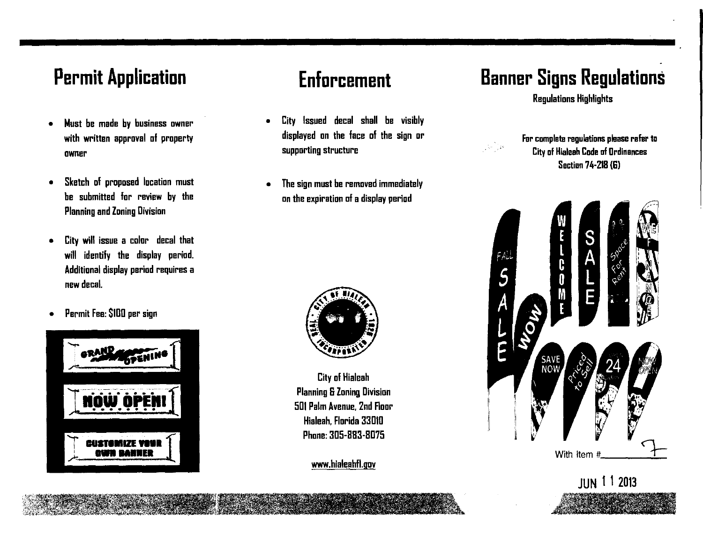## **Permit Application**

- Must be made by business owner with written approval of property owner
- Sketch of proposed location must be submitted for review by the Planning and Zoning Division
- City will issue a color decal that will identify the display period. Additional display period requires a new decal.
- Permit Fee: SIDD per sign



# **Enforcement**

- City Issued decal shall be visibly displayed on the face of the sign or supporting structure
- The sign must be removed immediately on the expiration of a display period



City of Hialeah Planning S Zoning Division 501 Palm Avenue, 2nd Floor Hialeah, Florida 33010 Phone:3D5-BB3-BD75

www.hialeahfl.gov

# **Banner Signs Regulations**

Regulations Highlights



Fur complete regulations please refer to City of Hialeah Code of Ordinances Section 74-218 (G)

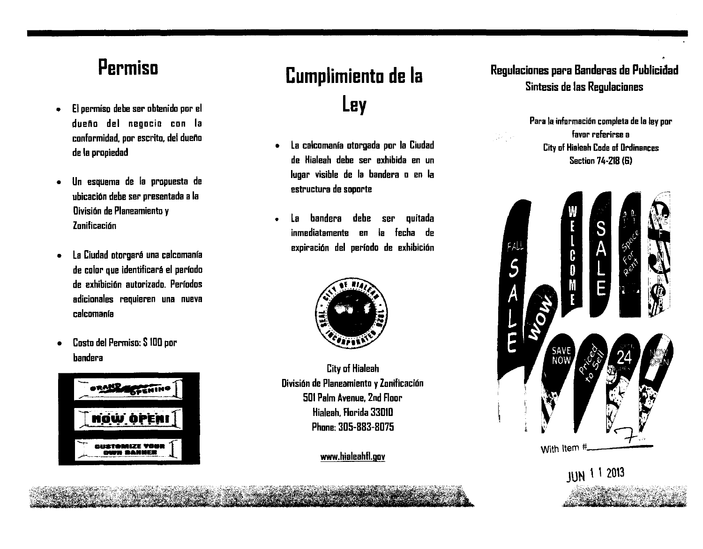### **Permiso**

- El permiso debe ser oblenido por el dueHo del negocio con Ia conformidad. por escrito, del dueHo de Ia propiedad
- Un esquema de Ia propuesta de ubicacion debe ser presentada a Ia Division de Planeamiento y **Zonificación**
- la Ciudad otorgara una calcomanfa de color que identificara el perfodo de exhibicion autorizado. Perfodos adicionales requieren una nueva calcomanfa
- Cosio del Permiso: S IDO por bandera



# **Cumplimiento de Ia ley**

- la calcomanfa otorgada por Ia Ciudad de Hialeah debe ser exhibida en un Iugar visible de Ia bandera o en Ia estructura de soporte
- la bandera debe ser quitada inmediatamente en Ia fecha de expiración del período de exhibición



City of Hialeah Division de Planeamiento y Zonificacion 501 Palm Avenue, 2nd Floor Hialeah. Florida 3301D Phone: 305-883-8075

www.hialeahH.gov

### Regulaciones para Banderas de Publicidad Sintesis de las Regulaciones

Para Ia informacion completa de Ia ley pur favor referirse a City of Hialeah Code of Ordinances Section 74-218 (G)